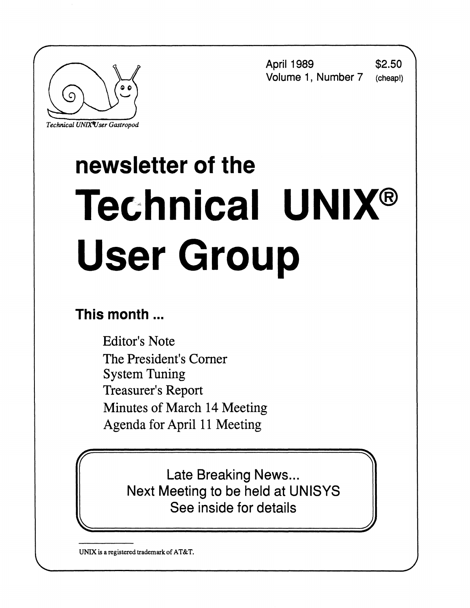



*Technical UNIXVser Gastropod* 

# **newsletter of the Technical UNIX® User Group**

## **This month...**

Editor's Note The President's Corner System Tuning Treasurer's Report Minutes of March 14 Meeting Agenda for April 11 Meeting

**tr \**  Late Breaking News... Next Meeting to be held at UNISYS See inside for details

**UNIX is a registered trademark of AT&T.**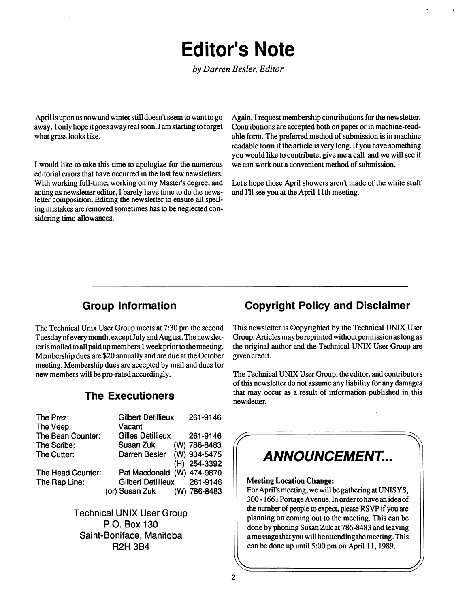## **Editor's Note**

*by Darren Besler, Editor* 

April is upon us now and winter still doesn't seem to want to go away. I only hope it goes away real soon. I am starting to forget what grass looks like.

I would like to take this time to apologize for the numerous editorial errors that have occurred in the last few newsletters. With working full-time, working on my Master's degree, and acting as newsletter editor, I barely have time to do the newsletter composition. Editing the newsletter to ensure all spelling mistakes are removed sometimes has to be neglected considering time allowances.

Again, I request membership contributions for the newsletter. Contributions are accepted both on paper or in machine-readable form. The preferred method of submission is in machine readable form if the article is very long. If you have something you would like to contribute, give me a call and we will see if we can work out a convenient method of submission.

Let's hope those April showers aren't made of the white stuff and I'll see you at the April 11th meeting.

The Technical Unix User Group meets at 7:30 pm the second Tuesday of every month, except July and August. The newsletter is mailed to all paid up members 1 week prior to the meeting. Membership dues are \$20 annually and are due at the October meeting. Membership dues are accepted by mail and dues for new members will be pro-rated accordingly.

#### **The Executioners**

| The Prez:         | <b>Gilbert Detillieux</b>   | 261-9146 |              |
|-------------------|-----------------------------|----------|--------------|
| The Veep:         | Vacant                      |          |              |
| The Bean Counter: | <b>Gilles Detillieux</b>    |          | 261-9146     |
| The Scribe:       | Susan Zuk (W) 786-8483      |          |              |
| The Cutter:       | Darren Besler (W) 934-5475  |          |              |
|                   |                             |          | (H) 254-3392 |
| The Head Counter: | Pat Macdonald (W) 474-9870  |          |              |
| The Rap Line:     | Gilbert Detillieux 261-9146 |          |              |
|                   | (or) Susan Zuk (W) 786-8483 |          |              |
|                   |                             |          |              |

**Technical UNIX User Group P.O. Box 130 Saint-Boniface, Manitoba R2H 3B4** 

#### **Group Information Copyright Policy and Disclaimer**

This newsletter is ©opyrighted by the Technical UNIX User Group. Articles may be reprinted without permission as long as the original author and the Technical UNIX User Group are given credit.

The Technical UNIX User Group, the editor, and contributors of this newsletter do not assume any liability for any damages that may occur as a result of information published in this newsletter.

# **f ANNOUNCEMENT...**

#### **Meeting Location Change:**

For April's meeting, we will be gathering at UNISYS, 300 -1661 Portage Avenue. In order to have an idea of the number of people to expect, please RSVP if you are planning on coming out to the meeting. This can be done by phoning Susan Zuk at 786-8483 and leaving a message that you will be attending the meeting. This can be done up until 5:00 pm on April 11,1989.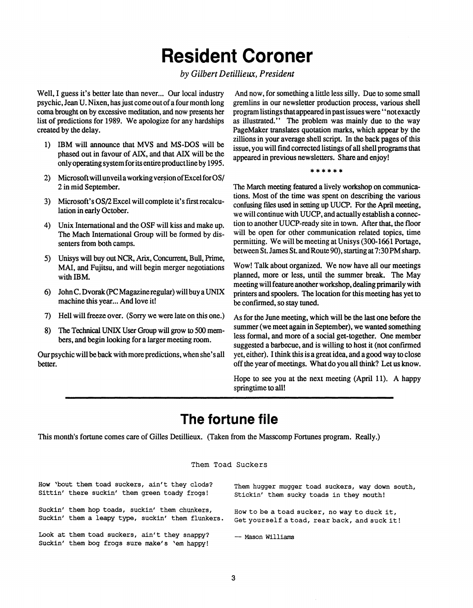## **Resident Coroner**

#### *by Gilbert Detillieux, President*

**Well, I guess it's better late than never... Our local industry psychic, Jean U. Nixen, has just come out of a four month long coma brought on by excessive meditation, and now presents her list of predictions for 1989. We apologize for any hardships created by the delay.** 

- **1) IBM will announce that MVS and MS-DOS will be phased out in favour of AIX, and that AIX will be the only operating systemfor its entire productlineby 1995.**
- **2) Microsoft will unveil a working version of Excel for OS/ 2 in mid September.**
- **3) Microsoft's OS/2 Excel will complete it's first recalculation in early October.**
- **4) Unix International and the OSF will kiss and make up. The Mach International Group will be formed by dissenters from both camps.**
- **5) Unisys will buy out NCR, Arix, Concurrent, Bull, Prime, MAI, and Fujitsu, and will begin merger negotiations with IBM.**
- **6) John C. Dvorak (PC Magazine regular) will buy a UNIX machine this year... And love it!**
- **7) Hell will freeze over. (Sorry we were late on this one.)**
- **8) The Technical UNIX User Group will grow to 500 members, and begin looking for a larger meeting room.**

**Our psychic will be back with more predictions, when she's all better.** 

**And now, for something a little less silly. Due to some small gremlins in our newsletter production process, various shell program listings that appeared in past issues were \* 'not exactly as illustrated." The problem was mainly due to the way PageMaker translates quotation marks, which appear by the zillions in your average shell script. In the back pages of this issue, you will find corrected listings of all shell programs that appeared in previous newsletters. Share and enjoy!** 

#### **\*\*\*\*\* \***

**The March meeting featured a lively workshop on communications. Most of the time was spent on describing the various confusing files used in setting up UUCP. For the April meeting, we will continue with UUCP, and actually establish a connection to another UUCP-ready site in town. After that, the floor will be open for other communication related topics, time permitting. We will be meeting at Unisys (300-1661 Portage, between St. James St. andRoute 90), starting at 7:30 PM sharp.** 

**Wow! Talk about organized. We now have all our meetings planned, more or less, until the summer break. The May meeting will feature another workshop, dealing primarily with printers and spoolers. The location for this meeting has yet to be confirmed, so stay tuned.** 

**As for the June meeting, which will be the last one before the summer (we meet again in September), we wanted something less formal, and more of a social get-together. One member suggested a barbecue, and is willing to host it (not confirmed yet, either). I think this is a great idea, and a good way to close off the year of meetings. What do you all think? Let us know.** 

**Hope to see you at the next meeting (April 11). A happy springtime to all!** 

### **The fortune file**

**This month's fortune comes care of Gilles Detillieux. (Taken from the Masscomp Fortunes program. Really.)** 

#### Them Toad Suckers

| How 'bout them toad suckers, ain't they clods?                                                 | Them hugger mugger toad suckers, way down south, |
|------------------------------------------------------------------------------------------------|--------------------------------------------------|
| Sittin' there suckin' them green toady frogs!                                                  | Stickin' them sucky toads in they mouth!         |
| Suckin' them hop toads, suckin' them chunkers,                                                 | How to be a toad sucker, no way to duck it,      |
| Suckin' them a leapy type, suckin' them flunkers.                                              | Get yourself a toad, rear back, and suck it!     |
| Look at them toad suckers, ain't they snappy?<br>Suckin' them bog frogs sure make's 'em happy! | -- Mason Williams                                |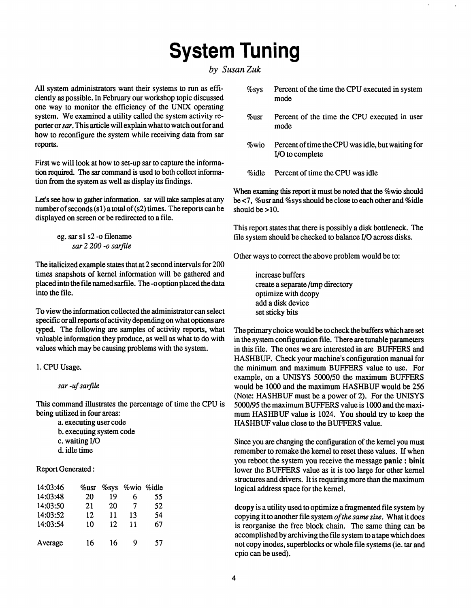## **System Tuning**

#### *by Susan Zuk*

All system administrators want their systems to run as efficiently as possible. In February our workshop topic discussed one way to monitor the efficiency of the UNIX operating system. We examined a utility called the system activity reporter or *sar.* This article will explain what to watch out for and how to reconfigure the system while receiving data from sar reports.

First we will look at how to set-up sar to capture the information required. The sar command is used to both collect information from the system as well as display its findings.

Let's see how to gather information, sar will take samples at any number of seconds  $(s1)$  a total of  $(s2)$  times. The reports can be displayed on screen or be redirected to a file.

> eg. sar si s2 -o filename *sar 2 200-o sar file*

The italicized example states that at 2 second intervals for 200 times snapshots of kernel information will be gathered and placed into the file named sarfile. The -o option placed the data into the file.

To view the information collected the administrator can select specific or all reports of activity depending on what options are typed. The following are samples of activity reports, what valuable information they produce, as well as what to do with values which may be causing problems with the system.

1. CPU Usage.

*sar -uf sarfile* 

This command illustrates the percentage of time the CPU is being utilized in four areas:

> a. executing user code b. executing system code c. waiting I/O d. idle time

**Report Generated:** 

| 14:03:46 | $\%$ usr | $\%$ sys | %wio | %idle |
|----------|----------|----------|------|-------|
| 14:03:48 | 20       | 19       | 6    | 55    |
| 14:03:50 | 21       | 20       | 7    | 52    |
| 14:03:52 | 12       | 11       | 13   | 54    |
| 14:03:54 | 10       | 12       | 11   | 67    |
| Average  | 16       | 16       | 9    | 57    |

| $\%$ sys | Percent of the time the CPU executed in system<br>mode               |
|----------|----------------------------------------------------------------------|
| %usr     | Percent of the time the CPU executed in user<br>mode                 |
| $\%$ wio | Percent of time the CPU was idle, but waiting for<br>I/O to complete |
| %idle    | Percent of time the CPU was idle                                     |

When examing this report it must be noted that the %wio should be <7, %usr and %sys should be close to each other and %idle should be  $>10$ .

This report states that there is possibly a disk bottleneck. The file system should be checked to balance I/O across disks.

Other ways to correct the above problem would be to:

increase buffers create a separate /tmp directory optimize with dcopy add a disk device set sticky bits

The primary choice would be to check the buffers which are set in the system configuration file. There are tunable parameters in this file. The ones we are interested in are BUFFERS and HASHBUF. Check your machine's configuration manual for the minimum and maximum BUFFERS value to use. For example, on a UNISYS 5000/50 the maximum BUFFERS would be 1000 and the maximum HASHBUF would be 256 (Note: HASHBUF must be a power of 2). For the UNISYS 5000/95 the maximum BUFFERS value is 1000 and the maximum HASHBUF value is 1024. You should try to keep the HASHBUF value close to the BUFFERS value.

Since you are changing the configuration of the kernel you must remember to remake the kernel to reset these values. If when you reboot the system you receive the message **panic**: **binit**  lower the BUFFERS value as it is too large for other kernel structures and drivers. It is requiring more than the maximum logical address space for the kernel.

dcopy is a utility used to optimize a fragmented file system by copying it to another file system *of the same size.* What it does is reorganise the free block chain. The same thing can be accomplished by archiving the file system to a tape which does not copy inodes, superblocks or whole file systems (ie. tar and cpio can be used).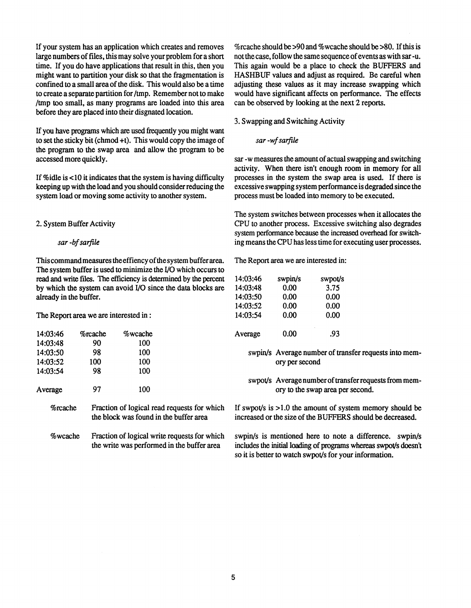**If your system has an application which creates and removes large numbers of files, this may solve your problem for a short time. If you do have applications that result in this, then you might want to partition your disk so that the fragmentation is confined to a small area of the disk. This would also be a time to create a separate partition for /tmp. Remember not to make /tmp too small, as many programs are loaded into this area before they are placed into their disgnated location.** 

**If you have programs which are used frequently you might want to set the sticky bit (chmod +t). This would copy the image of the program to the swap area and allow the program to be accessed more quickly.** 

**If %idle is <10 it indicates that the system is having difficulty keeping up with the load and you should consider reducing the system load or moving some activity to another system.** 

#### **2. System Buffer Activity**

*sar -bfsarfile* 

**Thiscommandmeasures theeffiency of the system buffer area. The Report area we are interested in: The system buffer is used to minimize the I/O which occurs to read and write files. The efficiency is determined by the percent by which the system can avoid I/O since the data blocks are already in the buffer.** 

**The Report area we are interested in:** 

| 14:03:46    | $\%$ rcache | $\%$ wcache                                | Average                                      | 0.00           | .93                                                       |                                                                             |
|-------------|-------------|--------------------------------------------|----------------------------------------------|----------------|-----------------------------------------------------------|-----------------------------------------------------------------------------|
| 14:03:48    | 90          | 100                                        |                                              |                |                                                           |                                                                             |
| 14:03:50    | 98          | 100                                        |                                              |                |                                                           | swpin/s Average number of transfer requests into mem-                       |
| 14:03:52    | 100         | 100                                        |                                              | ory per second |                                                           |                                                                             |
| 14:03:54    | 98          | 100                                        |                                              |                |                                                           |                                                                             |
|             |             |                                            |                                              |                |                                                           | swpot/s Average number of transfer requests from mem-                       |
| Average     | 97          | 100                                        |                                              |                | ory to the swap area per second.                          |                                                                             |
| %rcache     |             | the block was found in the buffer area     | Fraction of logical read requests for which  |                | increased or the size of the BUFFERS should be decreased. | If swpot/s is $>1.0$ the amount of system memory should be                  |
| $\%$ wcache |             | the write was performed in the buffer area | Fraction of logical write requests for which |                | swpin/s is mentioned here to note a difference.           | swpin/s<br>includes the initial loading of programs whereas swpot/s doesn't |

**%rcache should be >90 and %wcache should be >80. If this is not the case, follow the same sequence of events as with sar -u. This again would be a place to check the BUFFERS and HASHBUF values and adjust as required. Be careful when adjusting these values as it may increase swapping which would have significant affects on performance. The effects can be observed by looking at the next 2 reports.** 

**3. Swapping and Switching Activity** 

*sar -wfsarftle* 

**sar -w measures the amount of actual swapping and switching activity. When there isn't enough room in memory for all processes in the system the swap area is used. If there is excessive swapping system performance is degraded since the process must be loaded into memory to be executed.** 

**The system switches between processes when it allocates the CPU to another process. Excessive switching also degrades system performance because the increased overhead for switching means the CPU has less time for executing user processes.** 

| 14:03:46 | swpin/s | swpot/s |
|----------|---------|---------|
| 14:03:48 | 0.00    | 3.75    |
| 14:03:50 | 0.00    | 0.00    |
| 14:03:52 | 0.00    | 0.00    |
| 14:03:54 | 0.00    | 0.00    |
| Average  | 0.00    | .93     |
|          |         |         |

**swpin/s is mentioned here to note a difference, swpin/s includes the initial loading of programs whereas swpot/s doesn't so it is better to watch swpot/s for your information.**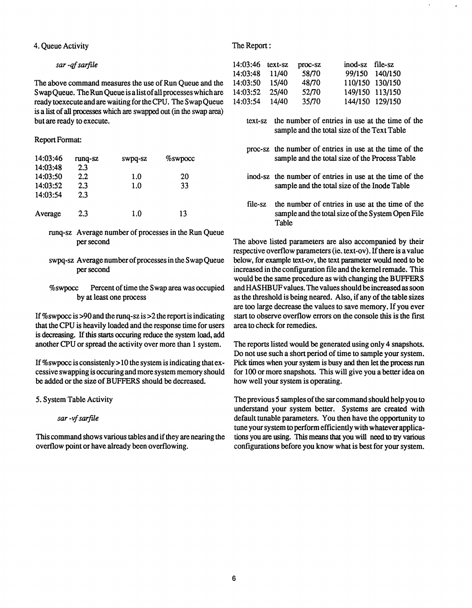**4. Queue Activity The Report:** 

#### *sar -qfsarfile*

**The above command measures the use of Run Queue and the S wap Queue. The Run Queue is a list of all processes which are ready toexecute and are waiting for the CPU. The Swap Queue is a list of all processes which are swapped out (in the swap area) but are ready to execute.** 

#### **Report Format:**

| 14:03:46<br>14:03:48 | runq-sz<br>2.3 | swpq-sz | %swpocc |
|----------------------|----------------|---------|---------|
| 14:03:50             | 2.2            | 1.0     | 20      |
| 14:03:52             | 2.3            | 1.0     | 33      |
| 14:03:54             | 2.3            |         |         |
| Average              | 2.3            | 1.0     | 13      |

- **runq-sz Average number of processes in the Run Queue per second**
- **swpq-sz Average number of processes in the Swap Queue per second**
- **%swpocc Percent of time the Swap area was occupied by at least one process**

**If %swpocc is >90 and the runq-sz is >2 the report is indicating that the CPU is heavily loaded and the response time for users is decreasing. If this starts occuring reduce the system load, add another CPU or spread the activity over more than 1 system.** 

**If %swpocc is consistenly > 10 the system is indicating that excessive swapping is occuring and more system memory should be added or the size of BUFFERS should be decreased.** 

**5. System Table Activity** 

*sar -vfsarfile* 

**This command shows various tables and if they are nearing the overflow point or have already been overflowing.** 

| 14:03:46 | text-sz | proc-sz                  | inod-sz file-sz |                 |
|----------|---------|--------------------------|-----------------|-----------------|
| 14:03:48 | 11/40   | 58/70                    |                 | 99/150 140/150  |
| 14:03:50 | 15/40   | 48/70                    |                 | 110/150 130/150 |
| 14:03:52 | 25/40   | 52 <i>m</i> <sup>0</sup> |                 | 149/150 113/150 |
| 14:03:54 | 14/40   | 35/70                    |                 | 144/150 129/150 |

- **text-sz the number of entries in use at the time of the sample and the total size of the Text Table**
- **proc-sz the number of entries in use at the time of the sample and the total size of the Process Table**
- **inod-sz the number of entries in use at the time of the sample and the total size of the Inode Table**
- **file-sz the number of entries in use at the time of the sample and the total size of the System Open File Table**

The above listed parameters are also accompanied by their **respective overflow parameters (ie. text-ov). If there is a value below, for example text-ov, the text parameter would need to be increased in the configuration file and the kernel remade. This would be the same procedure as with changing the BUFFERS and HASHBUF values. The values should be increased as soon as the threshold is being neared. Also, if any of the table sizes are too large decrease the values to save memory. If you ever start to observe overflow errors on the console this is the first area to check for remedies.** 

**The reports listed would be generated using only 4 snapshots. Do not use such a short period of time to sample your system. Pick times when your system is busy and then let the process run for 100 or more snapshots. This will give you a better idea on how well your system is operating.** 

**The previous 5 samples of the sar command should help you to understand your system better. Systems are created with default tunable parameters. You then have the opportunity to tune your system to perform efficiently with whatever applications you are using. This means that you will need to try various configurations before you know what is best for your system.**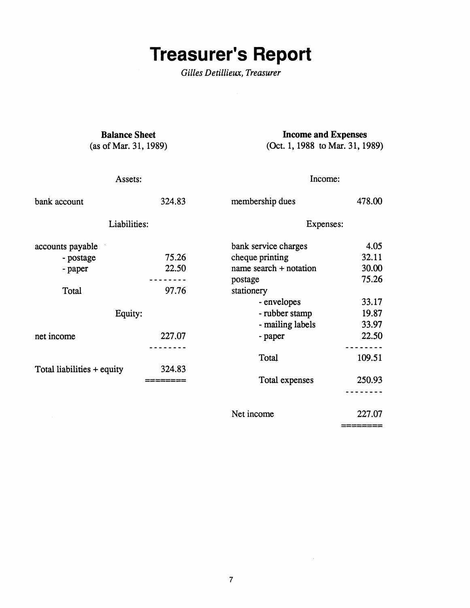## **Treasurer's Report**

 $Gilles$  Detillieux, Treasurer

**Balance Sheet**  (as of Mar. 31,1989)

**Income and Expenses**  (Oct. 1,1988 to Mar. 31,1989)

| Assets:                    |        | Income:                |        |  |
|----------------------------|--------|------------------------|--------|--|
| bank account               | 324.83 | membership dues        | 478.00 |  |
| Liabilities:               |        | Expenses:              |        |  |
| accounts payable           |        | bank service charges   | 4.05   |  |
| - postage                  | 75.26  | cheque printing        | 32.11  |  |
| - paper                    | 22.50  | name search + notation | 30.00  |  |
|                            |        | postage                | 75.26  |  |
| Total                      | 97.76  | stationery             |        |  |
|                            |        | - envelopes            | 33.17  |  |
| Equity:                    |        | - rubber stamp         | 19.87  |  |
|                            |        | - mailing labels       | 33.97  |  |
| net income                 | 227.07 | - paper                | 22.50  |  |
|                            |        | Total                  | 109.51 |  |
| Total liabilities + equity | 324.83 |                        |        |  |
|                            |        | Total expenses         | 250.93 |  |
|                            |        |                        |        |  |
|                            |        | Net income             | 227.07 |  |

Net income

 $\sim 10^{-1}$ 

**— ———————**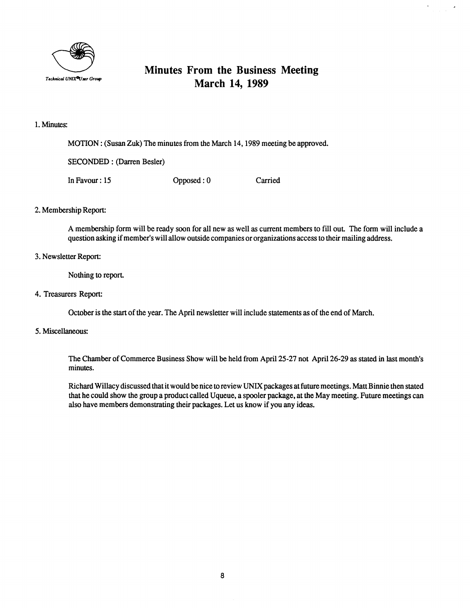

#### **Minutes From the Business Meeting March 14, 1989**

 $\bar{\mathbf{r}}$ 

#### **1. Minutes:**

**MOTION: (Susan Zuk) The minutes from the March 14,1989 meeting be approved.** 

**SECONDED: (Darren Besler)** 

**In Favour: 15 Opposed: 0 Carried** 

#### **2. Membership Report:**

**A membership form will be ready soon for all new as well as current members to fill out The form will include a question asking if member's will allow outside companies or organizations access to their mailing address.** 

#### **3. Newsletter Report:**

Nothing to report.

#### **4. Treasurers Report:**

**October is the start of the year. The April newsletter will include statements as of the end of March.** 

#### **5. Miscellaneous:**

**The Chamber of Commerce Business Show will be held from April 25-27 not April 26-29 as stated in last month's minutes.** 

**Richard Willacy discussed that it would be nice to review UNIX packages at future meetings. Matt Binnie then stated that he could show the group a product called Uqueue, a spooler package, at the May meeting. Future meetings can also have members demonstrating their packages. Let us know if you any ideas.**